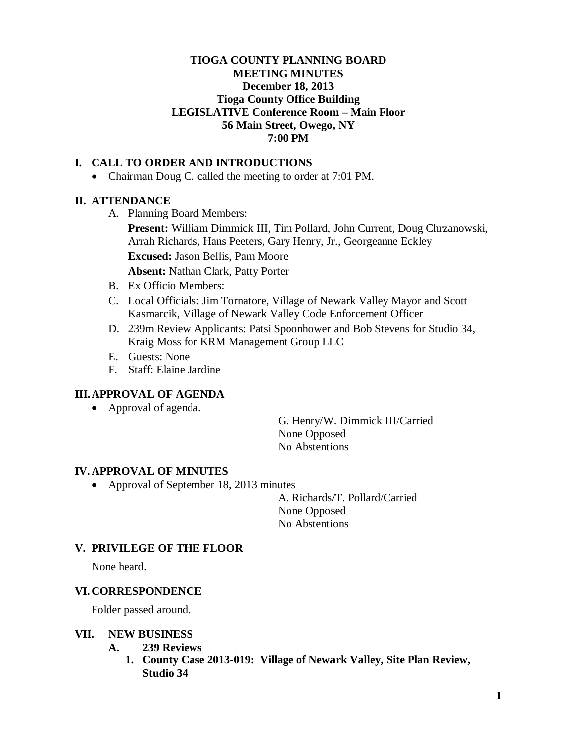# **TIOGA COUNTY PLANNING BOARD MEETING MINUTES December 18, 2013 Tioga County Office Building LEGISLATIVE Conference Room – Main Floor 56 Main Street, Owego, NY 7:00 PM**

# **I. CALL TO ORDER AND INTRODUCTIONS**

• Chairman Doug C. called the meeting to order at 7:01 PM.

### **II. ATTENDANCE**

A. Planning Board Members:

**Present:** William Dimmick III, Tim Pollard, John Current, Doug Chrzanowski, Arrah Richards, Hans Peeters, Gary Henry, Jr., Georgeanne Eckley **Excused:** Jason Bellis, Pam Moore

**Absent:** Nathan Clark, Patty Porter

- B. Ex Officio Members:
- C. Local Officials: Jim Tornatore, Village of Newark Valley Mayor and Scott Kasmarcik, Village of Newark Valley Code Enforcement Officer
- D. 239m Review Applicants: Patsi Spoonhower and Bob Stevens for Studio 34, Kraig Moss for KRM Management Group LLC
- E. Guests: None
- F. Staff: Elaine Jardine

### **III.APPROVAL OF AGENDA**

• Approval of agenda.

G. Henry/W. Dimmick III/Carried None Opposed No Abstentions

#### **IV. APPROVAL OF MINUTES**

• Approval of September 18, 2013 minutes

A. Richards/T. Pollard/Carried None Opposed No Abstentions

#### **V. PRIVILEGE OF THE FLOOR**

None heard.

### **VI. CORRESPONDENCE**

Folder passed around.

#### **VII. NEW BUSINESS**

- **A. 239 Reviews**
	- **1. County Case 2013-019: Village of Newark Valley, Site Plan Review, Studio 34**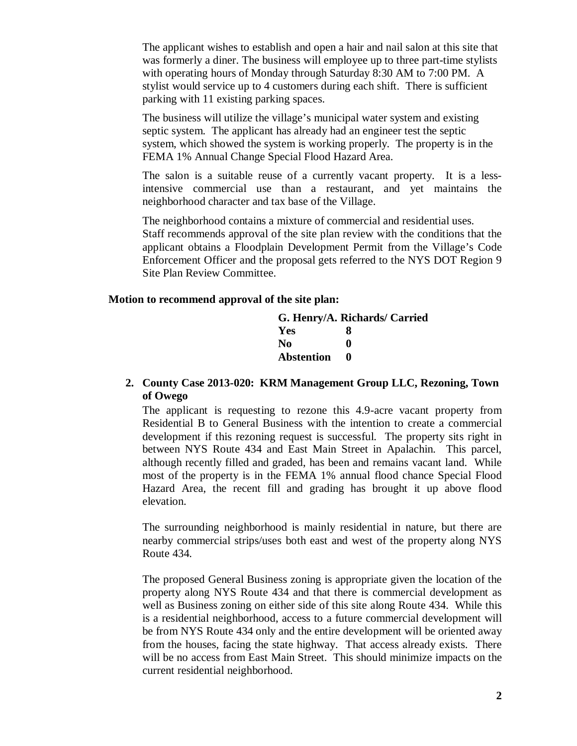The applicant wishes to establish and open a hair and nail salon at this site that was formerly a diner. The business will employee up to three part-time stylists with operating hours of Monday through Saturday 8:30 AM to 7:00 PM. A stylist would service up to 4 customers during each shift. There is sufficient parking with 11 existing parking spaces.

The business will utilize the village's municipal water system and existing septic system. The applicant has already had an engineer test the septic system, which showed the system is working properly. The property is in the FEMA 1% Annual Change Special Flood Hazard Area.

The salon is a suitable reuse of a currently vacant property. It is a lessintensive commercial use than a restaurant, and yet maintains the neighborhood character and tax base of the Village.

The neighborhood contains a mixture of commercial and residential uses. Staff recommends approval of the site plan review with the conditions that the applicant obtains a Floodplain Development Permit from the Village's Code Enforcement Officer and the proposal gets referred to the NYS DOT Region 9 Site Plan Review Committee.

#### **Motion to recommend approval of the site plan:**

|                   | G. Henry/A. Richards/ Carried |
|-------------------|-------------------------------|
| Yes               | x                             |
| No.               | o                             |
| <b>Abstention</b> | $\mathbf{a}$                  |

### **2. County Case 2013-020: KRM Management Group LLC, Rezoning, Town of Owego**

The applicant is requesting to rezone this 4.9-acre vacant property from Residential B to General Business with the intention to create a commercial development if this rezoning request is successful. The property sits right in between NYS Route 434 and East Main Street in Apalachin. This parcel, although recently filled and graded, has been and remains vacant land. While most of the property is in the FEMA 1% annual flood chance Special Flood Hazard Area, the recent fill and grading has brought it up above flood elevation.

The surrounding neighborhood is mainly residential in nature, but there are nearby commercial strips/uses both east and west of the property along NYS Route 434.

The proposed General Business zoning is appropriate given the location of the property along NYS Route 434 and that there is commercial development as well as Business zoning on either side of this site along Route 434. While this is a residential neighborhood, access to a future commercial development will be from NYS Route 434 only and the entire development will be oriented away from the houses, facing the state highway. That access already exists. There will be no access from East Main Street. This should minimize impacts on the current residential neighborhood.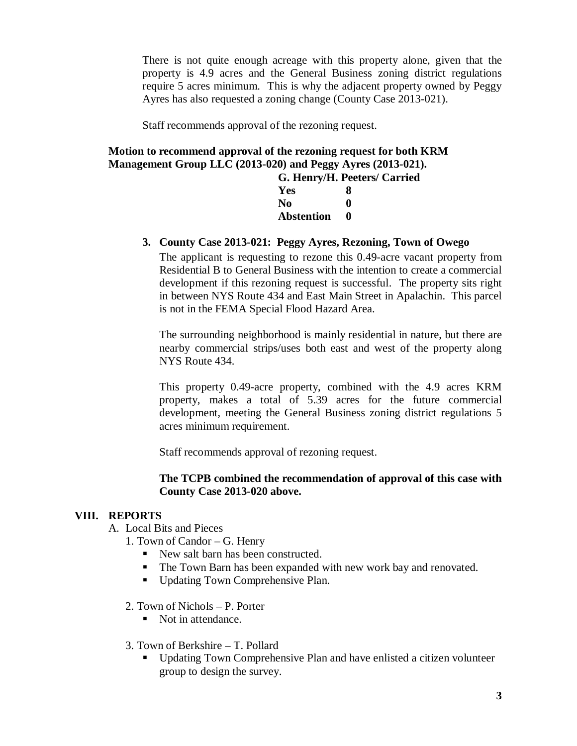There is not quite enough acreage with this property alone, given that the property is 4.9 acres and the General Business zoning district regulations require 5 acres minimum. This is why the adjacent property owned by Peggy Ayres has also requested a zoning change (County Case 2013-021).

Staff recommends approval of the rezoning request.

**Motion to recommend approval of the rezoning request for both KRM Management Group LLC (2013-020) and Peggy Ayres (2013-021). G. Henry/H. Peeters/ Carried**

| G. Henry/H. Peeters |
|---------------------|
| 8                   |
| o                   |
| o                   |
|                     |

# **3. County Case 2013-021: Peggy Ayres, Rezoning, Town of Owego**

The applicant is requesting to rezone this 0.49-acre vacant property from Residential B to General Business with the intention to create a commercial development if this rezoning request is successful. The property sits right in between NYS Route 434 and East Main Street in Apalachin. This parcel is not in the FEMA Special Flood Hazard Area.

The surrounding neighborhood is mainly residential in nature, but there are nearby commercial strips/uses both east and west of the property along NYS Route 434.

This property 0.49-acre property, combined with the 4.9 acres KRM property, makes a total of 5.39 acres for the future commercial development, meeting the General Business zoning district regulations 5 acres minimum requirement.

Staff recommends approval of rezoning request.

### **The TCPB combined the recommendation of approval of this case with County Case 2013-020 above.**

### **VIII. REPORTS**

- A. Local Bits and Pieces
	- 1. Town of Candor G. Henry
		- New salt barn has been constructed.
		- The Town Barn has been expanded with new work bay and renovated.
		- Updating Town Comprehensive Plan.
	- 2. Town of Nichols P. Porter
		- Not in attendance.
	- 3. Town of Berkshire T. Pollard
		- Updating Town Comprehensive Plan and have enlisted a citizen volunteer group to design the survey.